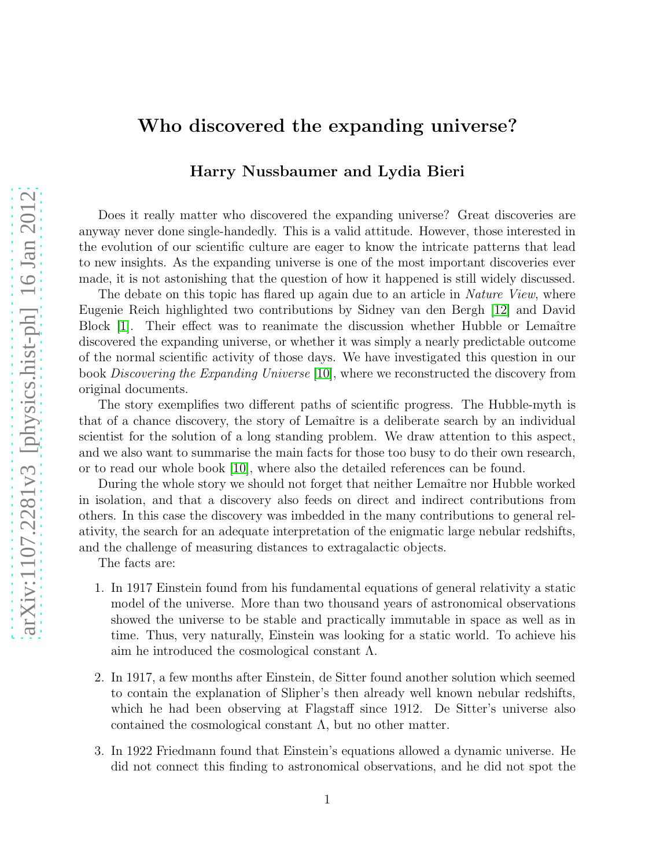## Who discovered the expanding universe?

## Harry Nussbaumer and Lydia Bieri

Does it really matter who discovered the expanding universe? Great discoveries are anyway never done single-handedly. This is a valid attitude. However, those interested in the evolution of our scientific culture are eager to know the intricate patterns that lead to new insights. As the expanding universe is one of the most important discoveries ever made, it is not astonishing that the question of how it happened is still widely discussed.

The debate on this topic has flared up again due to an article in *Nature View*, where Eugenie Reich highlighted two contributions by Sidney van den Bergh [\[12\]](#page-6-0) and David Block  $[1]$ . Their effect was to reanimate the discussion whether Hubble or Lemaître discovered the expanding universe, or whether it was simply a nearly predictable outcome of the normal scientific activity of those days. We have investigated this question in our book Discovering the Expanding Universe [\[10\]](#page-5-1), where we reconstructed the discovery from original documents.

The story exemplifies two different paths of scientific progress. The Hubble-myth is that of a chance discovery, the story of Lemaˆıtre is a deliberate search by an individual scientist for the solution of a long standing problem. We draw attention to this aspect, and we also want to summarise the main facts for those too busy to do their own research, or to read our whole book [\[10\]](#page-5-1), where also the detailed references can be found.

During the whole story we should not forget that neither Lemaître nor Hubble worked in isolation, and that a discovery also feeds on direct and indirect contributions from others. In this case the discovery was imbedded in the many contributions to general relativity, the search for an adequate interpretation of the enigmatic large nebular redshifts, and the challenge of measuring distances to extragalactic objects.

The facts are:

- 1. In 1917 Einstein found from his fundamental equations of general relativity a static model of the universe. More than two thousand years of astronomical observations showed the universe to be stable and practically immutable in space as well as in time. Thus, very naturally, Einstein was looking for a static world. To achieve his aim he introduced the cosmological constant  $\Lambda$ .
- 2. In 1917, a few months after Einstein, de Sitter found another solution which seemed to contain the explanation of Slipher's then already well known nebular redshifts, which he had been observing at Flagstaff since 1912. De Sitter's universe also contained the cosmological constant  $\Lambda$ , but no other matter.
- 3. In 1922 Friedmann found that Einstein's equations allowed a dynamic universe. He did not connect this finding to astronomical observations, and he did not spot the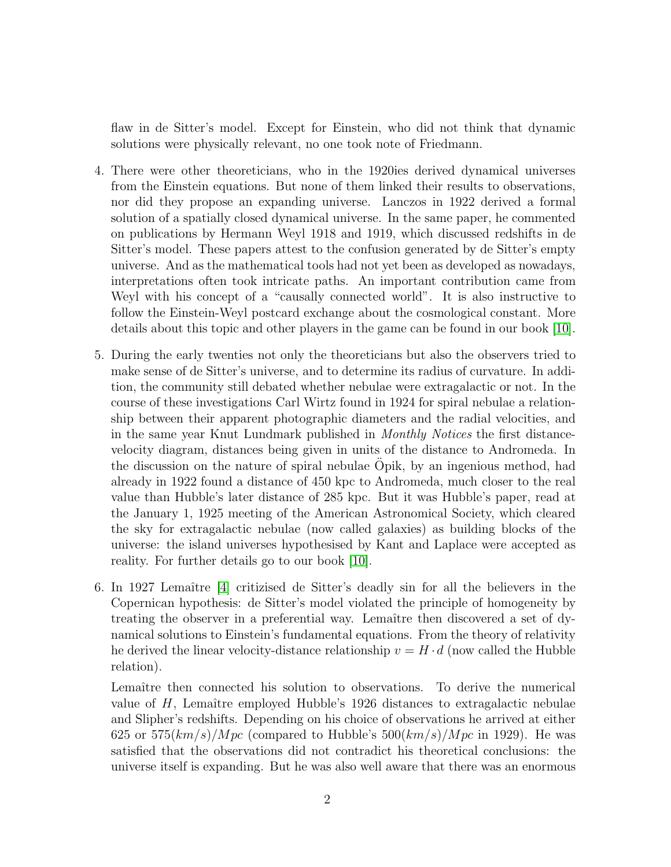flaw in de Sitter's model. Except for Einstein, who did not think that dynamic solutions were physically relevant, no one took note of Friedmann.

- 4. There were other theoreticians, who in the 1920ies derived dynamical universes from the Einstein equations. But none of them linked their results to observations, nor did they propose an expanding universe. Lanczos in 1922 derived a formal solution of a spatially closed dynamical universe. In the same paper, he commented on publications by Hermann Weyl 1918 and 1919, which discussed redshifts in de Sitter's model. These papers attest to the confusion generated by de Sitter's empty universe. And as the mathematical tools had not yet been as developed as nowadays, interpretations often took intricate paths. An important contribution came from Weyl with his concept of a "causally connected world". It is also instructive to follow the Einstein-Weyl postcard exchange about the cosmological constant. More details about this topic and other players in the game can be found in our book [\[10\]](#page-5-1).
- 5. During the early twenties not only the theoreticians but also the observers tried to make sense of de Sitter's universe, and to determine its radius of curvature. In addition, the community still debated whether nebulae were extragalactic or not. In the course of these investigations Carl Wirtz found in 1924 for spiral nebulae a relationship between their apparent photographic diameters and the radial velocities, and in the same year Knut Lundmark published in Monthly Notices the first distancevelocity diagram, distances being given in units of the distance to Andromeda. In the discussion on the nature of spiral nebulae Opik, by an ingenious method, had already in 1922 found a distance of 450 kpc to Andromeda, much closer to the real value than Hubble's later distance of 285 kpc. But it was Hubble's paper, read at the January 1, 1925 meeting of the American Astronomical Society, which cleared the sky for extragalactic nebulae (now called galaxies) as building blocks of the universe: the island universes hypothesised by Kant and Laplace were accepted as reality. For further details go to our book [\[10\]](#page-5-1).
- 6. In 1927 Lemaˆıtre [\[4\]](#page-5-2) critizised de Sitter's deadly sin for all the believers in the Copernican hypothesis: de Sitter's model violated the principle of homogeneity by treating the observer in a preferential way. Lemaître then discovered a set of dynamical solutions to Einstein's fundamental equations. From the theory of relativity he derived the linear velocity-distance relationship  $v = H \cdot d$  (now called the Hubble relation).

Lemaître then connected his solution to observations. To derive the numerical value of  $H$ , Lemaître employed Hubble's 1926 distances to extragalactic nebulae and Slipher's redshifts. Depending on his choice of observations he arrived at either 625 or  $575(km/s)/Mpc$  (compared to Hubble's  $500(km/s)/Mpc$  in 1929). He was satisfied that the observations did not contradict his theoretical conclusions: the universe itself is expanding. But he was also well aware that there was an enormous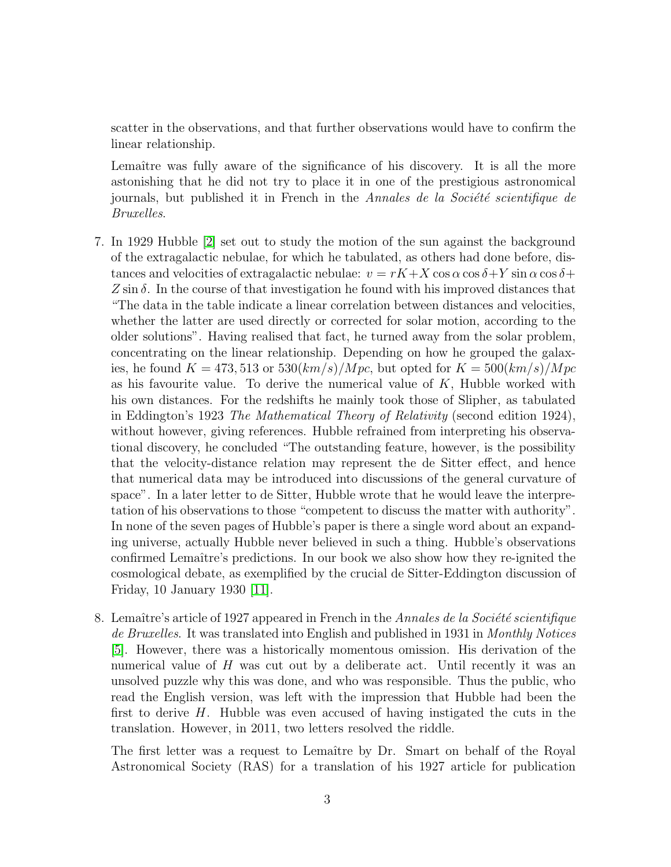scatter in the observations, and that further observations would have to confirm the linear relationship.

Lemaître was fully aware of the significance of his discovery. It is all the more astonishing that he did not try to place it in one of the prestigious astronomical journals, but published it in French in the Annales de la Société scientifique de Bruxelles.

- 7. In 1929 Hubble [\[2\]](#page-5-3) set out to study the motion of the sun against the background of the extragalactic nebulae, for which he tabulated, as others had done before, distances and velocities of extragalactic nebulae:  $v = rK + X \cos \alpha \cos \delta + Y \sin \alpha \cos \delta + Y$  $Z \sin \delta$ . In the course of that investigation he found with his improved distances that "The data in the table indicate a linear correlation between distances and velocities, whether the latter are used directly or corrected for solar motion, according to the older solutions". Having realised that fact, he turned away from the solar problem, concentrating on the linear relationship. Depending on how he grouped the galaxies, he found  $K = 473,513$  or  $530(km/s)/Mpc$ , but opted for  $K = 500(km/s)/Mpc$ as his favourite value. To derive the numerical value of  $K$ , Hubble worked with his own distances. For the redshifts he mainly took those of Slipher, as tabulated in Eddington's 1923 The Mathematical Theory of Relativity (second edition 1924), without however, giving references. Hubble refrained from interpreting his observational discovery, he concluded "The outstanding feature, however, is the possibility that the velocity-distance relation may represent the de Sitter effect, and hence that numerical data may be introduced into discussions of the general curvature of space". In a later letter to de Sitter, Hubble wrote that he would leave the interpretation of his observations to those "competent to discuss the matter with authority". In none of the seven pages of Hubble's paper is there a single word about an expanding universe, actually Hubble never believed in such a thing. Hubble's observations confirmed Lemaître's predictions. In our book we also show how they re-ignited the cosmological debate, as exemplified by the crucial de Sitter-Eddington discussion of Friday, 10 January 1930 [\[11\]](#page-6-1).
- 8. Lemaître's article of 1927 appeared in French in the Annales de la Société scientifique de Bruxelles. It was translated into English and published in 1931 in Monthly Notices [\[5\]](#page-5-4). However, there was a historically momentous omission. His derivation of the numerical value of  $H$  was cut out by a deliberate act. Until recently it was an unsolved puzzle why this was done, and who was responsible. Thus the public, who read the English version, was left with the impression that Hubble had been the first to derive H. Hubble was even accused of having instigated the cuts in the translation. However, in 2011, two letters resolved the riddle.

The first letter was a request to Lemaître by Dr. Smart on behalf of the Royal Astronomical Society (RAS) for a translation of his 1927 article for publication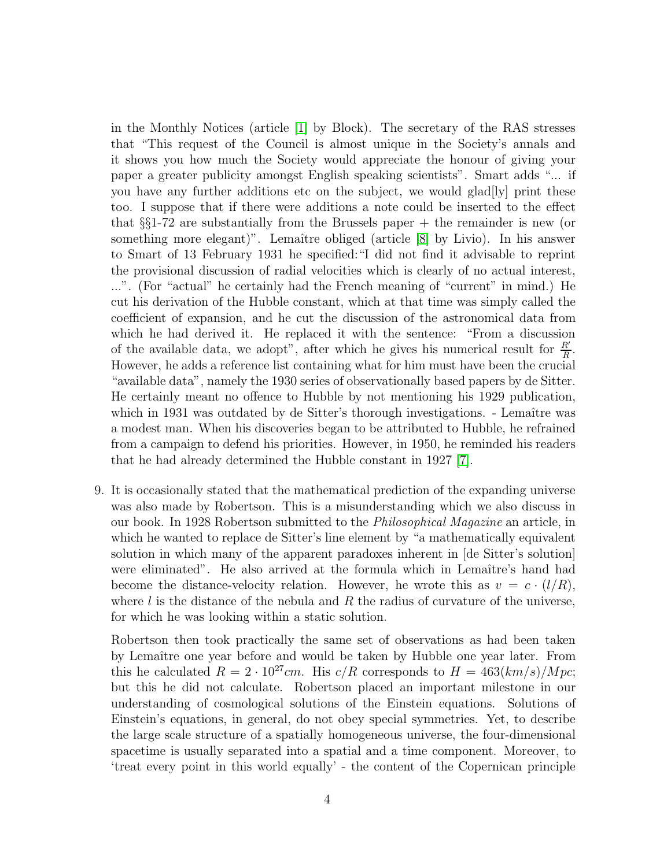in the Monthly Notices (article [\[1\]](#page-5-0) by Block). The secretary of the RAS stresses that "This request of the Council is almost unique in the Society's annals and it shows you how much the Society would appreciate the honour of giving your paper a greater publicity amongst English speaking scientists". Smart adds "... if you have any further additions etc on the subject, we would glad[ly] print these too. I suppose that if there were additions a note could be inserted to the effect that  $\S$ 1-72 are substantially from the Brussels paper  $+$  the remainder is new (or something more elegant)". Lemaître obliged (article [\[8\]](#page-5-5) by Livio). In his answer to Smart of 13 February 1931 he specified:"I did not find it advisable to reprint the provisional discussion of radial velocities which is clearly of no actual interest, ...". (For "actual" he certainly had the French meaning of "current" in mind.) He cut his derivation of the Hubble constant, which at that time was simply called the coefficient of expansion, and he cut the discussion of the astronomical data from which he had derived it. He replaced it with the sentence: "From a discussion of the available data, we adopt", after which he gives his numerical result for  $\frac{R'}{R}$ . However, he adds a reference list containing what for him must have been the crucial "available data", namely the 1930 series of observationally based papers by de Sitter. He certainly meant no offence to Hubble by not mentioning his 1929 publication, which in 1931 was outdated by de Sitter's thorough investigations. - Lemaître was a modest man. When his discoveries began to be attributed to Hubble, he refrained from a campaign to defend his priorities. However, in 1950, he reminded his readers that he had already determined the Hubble constant in 1927 [\[7\]](#page-5-6).

9. It is occasionally stated that the mathematical prediction of the expanding universe was also made by Robertson. This is a misunderstanding which we also discuss in our book. In 1928 Robertson submitted to the Philosophical Magazine an article, in which he wanted to replace de Sitter's line element by "a mathematically equivalent solution in which many of the apparent paradoxes inherent in [de Sitter's solution] were eliminated". He also arrived at the formula which in Lemaître's hand had become the distance-velocity relation. However, he wrote this as  $v = c \cdot (l/R)$ , where  $l$  is the distance of the nebula and  $R$  the radius of curvature of the universe, for which he was looking within a static solution.

Robertson then took practically the same set of observations as had been taken by Lemaître one year before and would be taken by Hubble one year later. From this he calculated  $R = 2 \cdot 10^{27}$ cm. His c/R corresponds to  $H = 463(km/s)/Mpc$ ; but this he did not calculate. Robertson placed an important milestone in our understanding of cosmological solutions of the Einstein equations. Solutions of Einstein's equations, in general, do not obey special symmetries. Yet, to describe the large scale structure of a spatially homogeneous universe, the four-dimensional spacetime is usually separated into a spatial and a time component. Moreover, to 'treat every point in this world equally' - the content of the Copernican principle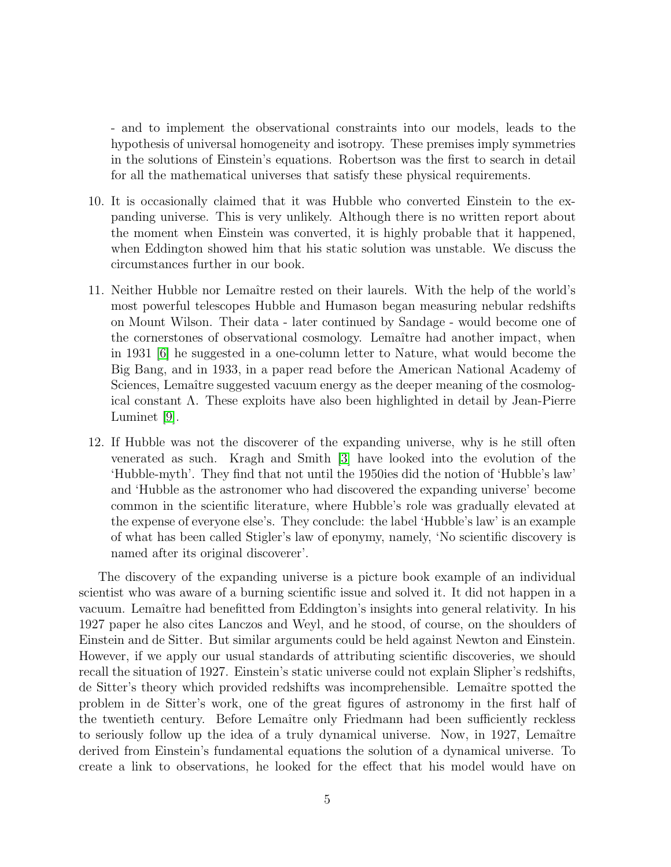- and to implement the observational constraints into our models, leads to the hypothesis of universal homogeneity and isotropy. These premises imply symmetries in the solutions of Einstein's equations. Robertson was the first to search in detail for all the mathematical universes that satisfy these physical requirements.

- 10. It is occasionally claimed that it was Hubble who converted Einstein to the expanding universe. This is very unlikely. Although there is no written report about the moment when Einstein was converted, it is highly probable that it happened, when Eddington showed him that his static solution was unstable. We discuss the circumstances further in our book.
- 11. Neither Hubble nor Lemaˆıtre rested on their laurels. With the help of the world's most powerful telescopes Hubble and Humason began measuring nebular redshifts on Mount Wilson. Their data - later continued by Sandage - would become one of the cornerstones of observational cosmology. Lemaître had another impact, when in 1931 [\[6\]](#page-5-7) he suggested in a one-column letter to Nature, what would become the Big Bang, and in 1933, in a paper read before the American National Academy of Sciences, Lemaître suggested vacuum energy as the deeper meaning of the cosmological constant Λ. These exploits have also been highlighted in detail by Jean-Pierre Luminet [\[9\]](#page-5-8).
- 12. If Hubble was not the discoverer of the expanding universe, why is he still often venerated as such. Kragh and Smith [\[3\]](#page-5-9) have looked into the evolution of the 'Hubble-myth'. They find that not until the 1950ies did the notion of 'Hubble's law' and 'Hubble as the astronomer who had discovered the expanding universe' become common in the scientific literature, where Hubble's role was gradually elevated at the expense of everyone else's. They conclude: the label 'Hubble's law' is an example of what has been called Stigler's law of eponymy, namely, 'No scientific discovery is named after its original discoverer'.

The discovery of the expanding universe is a picture book example of an individual scientist who was aware of a burning scientific issue and solved it. It did not happen in a vacuum. Lemaître had benefitted from Eddington's insights into general relativity. In his 1927 paper he also cites Lanczos and Weyl, and he stood, of course, on the shoulders of Einstein and de Sitter. But similar arguments could be held against Newton and Einstein. However, if we apply our usual standards of attributing scientific discoveries, we should recall the situation of 1927. Einstein's static universe could not explain Slipher's redshifts, de Sitter's theory which provided redshifts was incomprehensible. Lemaître spotted the problem in de Sitter's work, one of the great figures of astronomy in the first half of the twentieth century. Before Lemaître only Friedmann had been sufficiently reckless to seriously follow up the idea of a truly dynamical universe. Now, in 1927, Lemaître derived from Einstein's fundamental equations the solution of a dynamical universe. To create a link to observations, he looked for the effect that his model would have on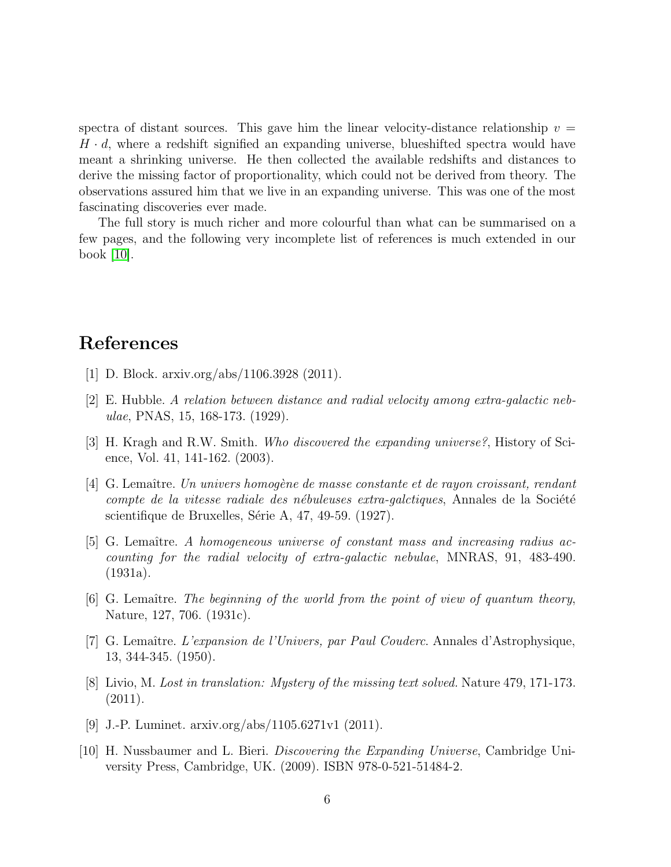spectra of distant sources. This gave him the linear velocity-distance relationship  $v =$  $H \cdot d$ , where a redshift signified an expanding universe, blueshifted spectra would have meant a shrinking universe. He then collected the available redshifts and distances to derive the missing factor of proportionality, which could not be derived from theory. The observations assured him that we live in an expanding universe. This was one of the most fascinating discoveries ever made.

The full story is much richer and more colourful than what can be summarised on a few pages, and the following very incomplete list of references is much extended in our book [\[10\]](#page-5-1).

## <span id="page-5-0"></span>References

- <span id="page-5-3"></span>[1] D. Block. arxiv.org/abs/1106.3928 (2011).
- <span id="page-5-9"></span>[2] E. Hubble. A relation between distance and radial velocity among extra-galactic nebulae, PNAS, 15, 168-173. (1929).
- <span id="page-5-2"></span>[3] H. Kragh and R.W. Smith. Who discovered the expanding universe?, History of Science, Vol. 41, 141-162. (2003).
- $[4]$  G. Lemaître. Un univers homogène de masse constante et de rayon croissant, rendant compte de la vitesse radiale des nébuleuses extra-galctiques, Annales de la Société scientifique de Bruxelles, Série A, 47, 49-59. (1927).
- <span id="page-5-4"></span>[5] G. Lemaître. A homogeneous universe of constant mass and increasing radius accounting for the radial velocity of extra-galactic nebulae, MNRAS, 91, 483-490. (1931a).
- <span id="page-5-7"></span>[6] G. Lemaître. The beginning of the world from the point of view of quantum theory, Nature, 127, 706. (1931c).
- <span id="page-5-6"></span>[7] G. Lemaître. L'expansion de l'Univers, par Paul Couderc. Annales d'Astrophysique, 13, 344-345. (1950).
- <span id="page-5-5"></span>[8] Livio, M. Lost in translation: Mystery of the missing text solved. Nature 479, 171-173. (2011).
- <span id="page-5-8"></span><span id="page-5-1"></span>[9] J.-P. Luminet. arxiv.org/abs/1105.6271v1 (2011).
- [10] H. Nussbaumer and L. Bieri. Discovering the Expanding Universe, Cambridge University Press, Cambridge, UK. (2009). ISBN 978-0-521-51484-2.